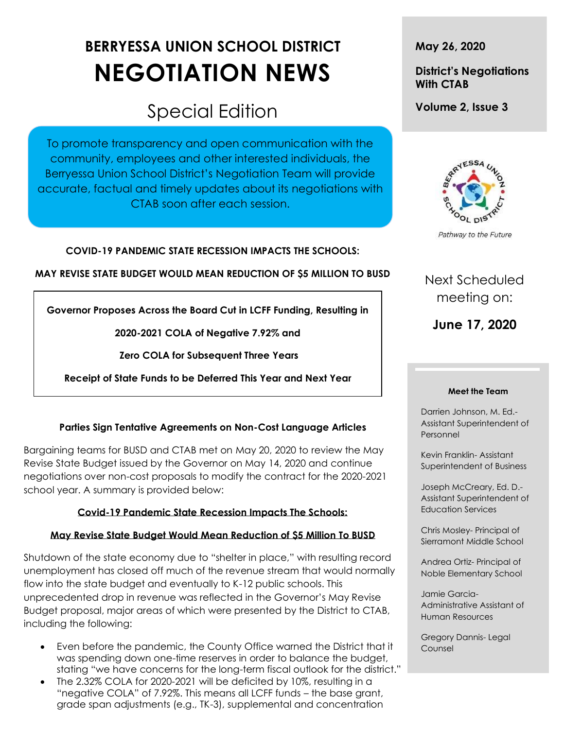# **BERRYESSA UNION SCHOOL DISTRICT NEGOTIATION NEWS**

## Special Edition

To promote transparency and open communication with the community, employees and other interested individuals, the Berryessa Union School District's Negotiation Team will provide accurate, factual and timely updates about its negotiations with CTAB soon after each session.

#### **COVID-19 PANDEMIC STATE RECESSION IMPACTS THE SCHOOLS:**

#### **MAY REVISE STATE BUDGET WOULD MEAN REDUCTION OF \$5 MILLION TO BUSD**

**Governor Proposes Across the Board Cut in LCFF Funding, Resulting in** 

**2020-2021 COLA of Negative 7.92% and**

**Zero COLA for Subsequent Three Years**

**Receipt of State Funds to be Deferred This Year and Next Year**

#### **Parties Sign Tentative Agreements on Non-Cost Language Articles**

Bargaining teams for BUSD and CTAB met on May 20, 2020 to review the May Revise State Budget issued by the Governor on May 14, 2020 and continue negotiations over non-cost proposals to modify the contract for the 2020-2021 school year. A summary is provided below:

#### **Covid-19 Pandemic State Recession Impacts The Schools:**

#### **May Revise State Budget Would Mean Reduction of \$5 Million To BUSD**

Shutdown of the state economy due to "shelter in place," with resulting record unemployment has closed off much of the revenue stream that would normally flow into the state budget and eventually to K-12 public schools. This unprecedented drop in revenue was reflected in the Governor's May Revise Budget proposal, major areas of which were presented by the District to CTAB, including the following:

- Even before the pandemic, the County Office warned the District that it was spending down one-time reserves in order to balance the budget, stating "we have concerns for the long-term fiscal outlook for the district."
- The 2.32% COLA for 2020-2021 will be deficited by 10%, resulting in a "negative COLA" of 7.92%. This means all LCFF funds – the base grant, grade span adjustments (e.g., TK-3), supplemental and concentration

**May 26, 2020**

#### **District's Negotiations With CTAB**

**Volume 2, Issue 3**



Pathway to the Future

## Next Scheduled meeting on:

### **June 17, 2020**

#### **Meet the Team**

Darrien Johnson, M. Ed.- Assistant Superintendent of Personnel

Kevin Franklin- Assistant Superintendent of Business

Joseph McCreary, Ed. D.- Assistant Superintendent of Education Services

Chris Mosley- Principal of Sierramont Middle School

Andrea Ortiz- Principal of Noble Elementary School

Jamie Garcia-Administrative Assistant of Human Resources

Gregory Dannis- Legal Counsel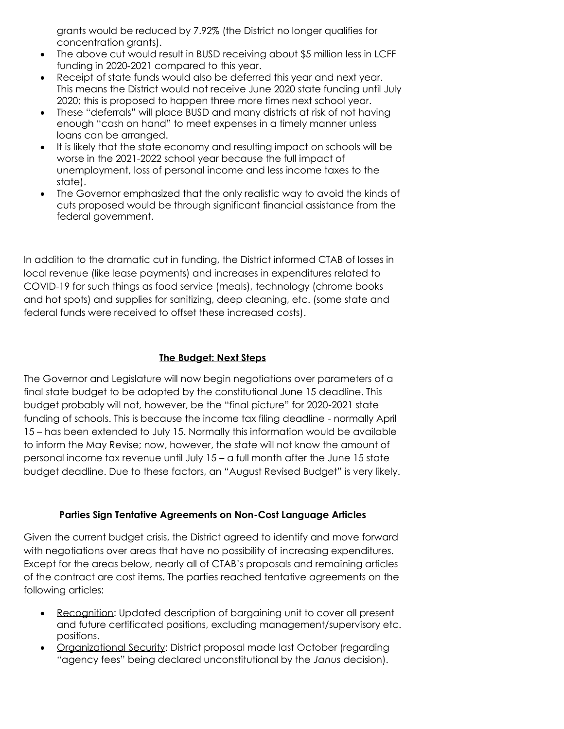grants would be reduced by 7.92% (the District no longer qualifies for concentration grants).

- The above cut would result in BUSD receiving about \$5 million less in LCFF funding in 2020-2021 compared to this year.
- Receipt of state funds would also be deferred this year and next year. This means the District would not receive June 2020 state funding until July 2020; this is proposed to happen three more times next school year.
- These "deferrals" will place BUSD and many districts at risk of not having enough "cash on hand" to meet expenses in a timely manner unless loans can be arranged.
- It is likely that the state economy and resulting impact on schools will be worse in the 2021-2022 school year because the full impact of unemployment, loss of personal income and less income taxes to the state).
- The Governor emphasized that the only realistic way to avoid the kinds of cuts proposed would be through significant financial assistance from the federal government.

In addition to the dramatic cut in funding, the District informed CTAB of losses in local revenue (like lease payments) and increases in expenditures related to COVID-19 for such things as food service (meals), technology (chrome books and hot spots) and supplies for sanitizing, deep cleaning, etc. (some state and federal funds were received to offset these increased costs).

#### **The Budget: Next Steps**

The Governor and Legislature will now begin negotiations over parameters of a final state budget to be adopted by the constitutional June 15 deadline. This budget probably will not, however, be the "final picture" for 2020-2021 state funding of schools. This is because the income tax filing deadline - normally April 15 – has been extended to July 15. Normally this information would be available to inform the May Revise; now, however, the state will not know the amount of personal income tax revenue until July 15 – a full month after the June 15 state budget deadline. Due to these factors, an "August Revised Budget" is very likely.

#### **Parties Sign Tentative Agreements on Non-Cost Language Articles**

Given the current budget crisis, the District agreed to identify and move forward with negotiations over areas that have no possibility of increasing expenditures. Except for the areas below, nearly all of CTAB's proposals and remaining articles of the contract are cost items. The parties reached tentative agreements on the following articles:

- Recognition: Updated description of bargaining unit to cover all present and future certificated positions, excluding management/supervisory etc. positions.
- Organizational Security: District proposal made last October (regarding "agency fees" being declared unconstitutional by the *Janus* decision).